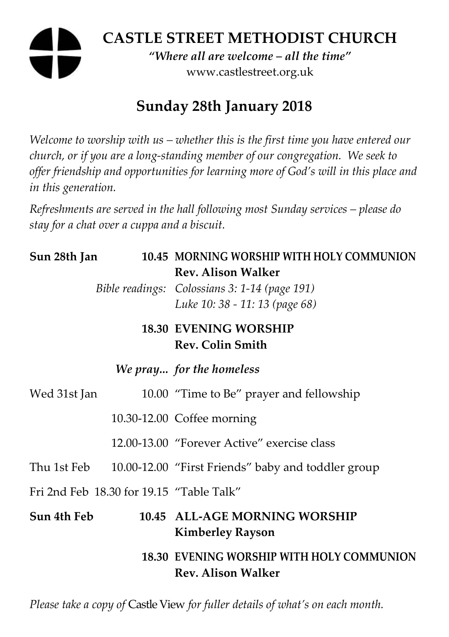# **CASTLE STREET METHODIST CHURCH**  *"Where all are welcome – all the time"*  www.castlestreet.org.uk

## **Sunday 28th January 2018**

*Welcome to worship with us – whether this is the first time you have entered our church, or if you are a long-standing member of our congregation. We seek to offer friendship and opportunities for learning more of God's will in this place and in this generation.* 

*Refreshments are served in the hall following most Sunday services – please do stay for a chat over a cuppa and a biscuit.* 

| Sun 28th Jan                             | 10.45 MORNING WORSHIP WITH HOLY COMMUNION<br><b>Rev. Alison Walker</b>          |
|------------------------------------------|---------------------------------------------------------------------------------|
|                                          | Bible readings: Colossians 3: 1-14 (page 191)<br>Luke 10: 38 - 11: 13 (page 68) |
|                                          | <b>18.30 EVENING WORSHIP</b><br><b>Rev. Colin Smith</b>                         |
|                                          | We pray for the homeless                                                        |
| Wed 31st Jan                             | 10.00 "Time to Be" prayer and fellowship                                        |
|                                          | 10.30-12.00 Coffee morning                                                      |
|                                          | 12.00-13.00 "Forever Active" exercise class                                     |
| Thu 1st Feb                              | 10.00-12.00 "First Friends" baby and toddler group                              |
| Fri 2nd Feb 18.30 for 19.15 "Table Talk" |                                                                                 |
| Sun 4th Feb                              | 10.45 ALL-AGE MORNING WORSHIP<br><b>Kimberley Rayson</b>                        |
|                                          | 18.30 EVENING WORSHIP WITH HOLY COMMUNION<br><b>Rev. Alison Walker</b>          |

*Please take a copy of* Castle View *for fuller details of what's on each month.*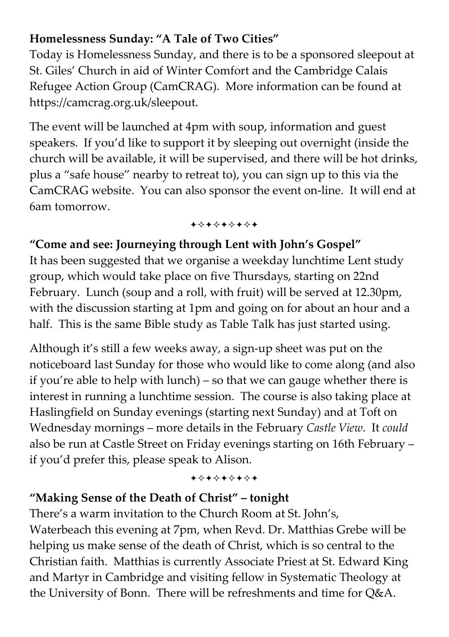## **Homelessness Sunday: "A Tale of Two Cities"**

Today is Homelessness Sunday, and there is to be a sponsored sleepout at St. Giles' Church in aid of Winter Comfort and the Cambridge Calais Refugee Action Group (CamCRAG). More information can be found at https://camcrag.org.uk/sleepout.

The event will be launched at 4pm with soup, information and guest speakers. If you'd like to support it by sleeping out overnight (inside the church will be available, it will be supervised, and there will be hot drinks, plus a "safe house" nearby to retreat to), you can sign up to this via the CamCRAG website. You can also sponsor the event on-line. It will end at 6am tomorrow.

+\*\*\*\*\*\*\*

#### **"Come and see: Journeying through Lent with John's Gospel"**

It has been suggested that we organise a weekday lunchtime Lent study group, which would take place on five Thursdays, starting on 22nd February. Lunch (soup and a roll, with fruit) will be served at 12.30pm, with the discussion starting at 1pm and going on for about an hour and a half. This is the same Bible study as Table Talk has just started using.

Although it's still a few weeks away, a sign-up sheet was put on the noticeboard last Sunday for those who would like to come along (and also if you're able to help with lunch) – so that we can gauge whether there is interest in running a lunchtime session. The course is also taking place at Haslingfield on Sunday evenings (starting next Sunday) and at Toft on Wednesday mornings – more details in the February *Castle View*. It *could* also be run at Castle Street on Friday evenings starting on 16th February – if you'd prefer this, please speak to Alison.

+\*+\*\*\*\*\*

#### **"Making Sense of the Death of Christ" – tonight**

There's a warm invitation to the Church Room at St. John's, Waterbeach this evening at 7pm, when Revd. Dr. Matthias Grebe will be helping us make sense of the death of Christ, which is so central to the Christian faith. Matthias is currently Associate Priest at St. Edward King and Martyr in Cambridge and visiting fellow in Systematic Theology at the University of Bonn. There will be refreshments and time for Q&A.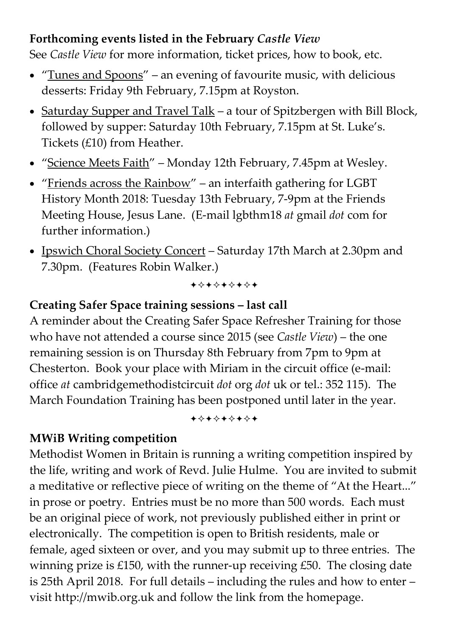#### **Forthcoming events listed in the February** *Castle View*

See *Castle View* for more information, ticket prices, how to book, etc.

- "Tunes and Spoons" an evening of favourite music, with delicious desserts: Friday 9th February, 7.15pm at Royston.
- Saturday Supper and Travel Talk a tour of Spitzbergen with Bill Block, followed by supper: Saturday 10th February, 7.15pm at St. Luke's. Tickets (£10) from Heather.
- "Science Meets Faith" Monday 12th February, 7.45pm at Wesley.
- "Friends across the Rainbow" an interfaith gathering for LGBT History Month 2018: Tuesday 13th February, 7-9pm at the Friends Meeting House, Jesus Lane. (E-mail lgbthm18 *at* gmail *dot* com for further information.)
- Ipswich Choral Society Concert Saturday 17th March at 2.30pm and 7.30pm. (Features Robin Walker.)

+\*\*\*\*\*\*\*

#### **Creating Safer Space training sessions – last call**

A reminder about the Creating Safer Space Refresher Training for those who have not attended a course since 2015 (see *Castle View*) – the one remaining session is on Thursday 8th February from 7pm to 9pm at Chesterton. Book your place with Miriam in the circuit office (e-mail: office *at* cambridgemethodistcircuit *dot* org *dot* uk or tel.: 352 115). The March Foundation Training has been postponed until later in the year.

+\*\*\*\*\*\*\*

#### **MWiB Writing competition**

Methodist Women in Britain is running a writing competition inspired by the life, writing and work of Revd. Julie Hulme. You are invited to submit a meditative or reflective piece of writing on the theme of "At the Heart..." in prose or poetry. Entries must be no more than 500 words. Each must be an original piece of work, not previously published either in print or electronically. The competition is open to British residents, male or female, aged sixteen or over, and you may submit up to three entries. The winning prize is  $£150$ , with the runner-up receiving  $£50$ . The closing date is 25th April 2018. For full details – including the rules and how to enter – visit http://mwib.org.uk and follow the link from the homepage.